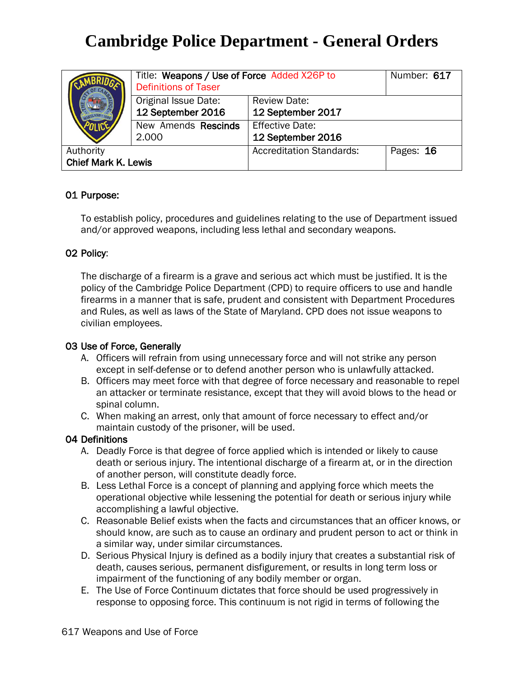# **Cambridge Police Department - General Orders**

|                                         | Title: Weapons / Use of Force Added X26P to<br><b>Definitions of Taser</b> |                                             | Number: 617 |
|-----------------------------------------|----------------------------------------------------------------------------|---------------------------------------------|-------------|
|                                         | Original Issue Date:<br>12 September 2016                                  | <b>Review Date:</b><br>12 September 2017    |             |
|                                         | New Amends Rescinds<br>2.000                                               | <b>Effective Date:</b><br>12 September 2016 |             |
| Authority<br><b>Chief Mark K. Lewis</b> |                                                                            | <b>Accreditation Standards:</b>             | Pages: 16   |

## 01 Purpose:

To establish policy, procedures and guidelines relating to the use of Department issued and/or approved weapons, including less lethal and secondary weapons.

## 02 Policy:

The discharge of a firearm is a grave and serious act which must be justified. It is the policy of the Cambridge Police Department (CPD) to require officers to use and handle firearms in a manner that is safe, prudent and consistent with Department Procedures and Rules, as well as laws of the State of Maryland. CPD does not issue weapons to civilian employees.

## 03 Use of Force, Generally

- A. Officers will refrain from using unnecessary force and will not strike any person except in self-defense or to defend another person who is unlawfully attacked.
- B. Officers may meet force with that degree of force necessary and reasonable to repel an attacker or terminate resistance, except that they will avoid blows to the head or spinal column.
- C. When making an arrest, only that amount of force necessary to effect and/or maintain custody of the prisoner, will be used.

## 04 Definitions

- A. Deadly Force is that degree of force applied which is intended or likely to cause death or serious injury. The intentional discharge of a firearm at, or in the direction of another person, will constitute deadly force.
- B. Less Lethal Force is a concept of planning and applying force which meets the operational objective while lessening the potential for death or serious injury while accomplishing a lawful objective.
- C. Reasonable Belief exists when the facts and circumstances that an officer knows, or should know, are such as to cause an ordinary and prudent person to act or think in a similar way, under similar circumstances.
- D. Serious Physical Injury is defined as a bodily injury that creates a substantial risk of death, causes serious, permanent disfigurement, or results in long term loss or impairment of the functioning of any bodily member or organ.
- E. The Use of Force Continuum dictates that force should be used progressively in response to opposing force. This continuum is not rigid in terms of following the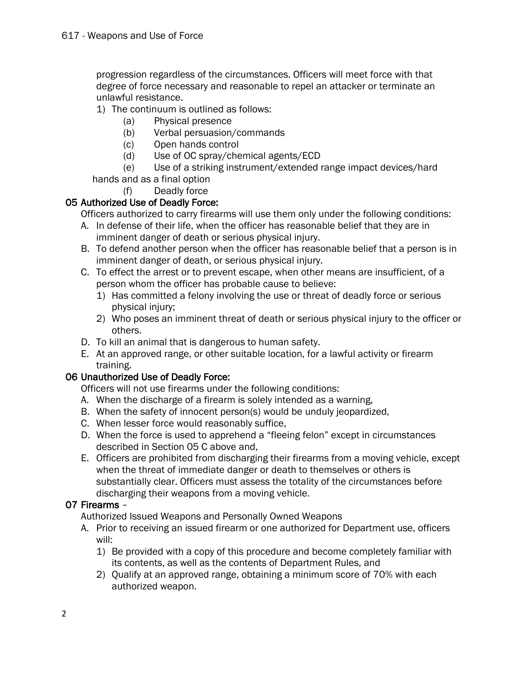progression regardless of the circumstances. Officers will meet force with that degree of force necessary and reasonable to repel an attacker or terminate an unlawful resistance.

1) The continuum is outlined as follows:

- (a) Physical presence
- (b) Verbal persuasion/commands
- (c) Open hands control
- (d) Use of OC spray/chemical agents/ECD
- (e) Use of a striking instrument/extended range impact devices/hard

hands and as a final option

(f) Deadly force

# 05 Authorized Use of Deadly Force:

Officers authorized to carry firearms will use them only under the following conditions:

- A. In defense of their life, when the officer has reasonable belief that they are in imminent danger of death or serious physical injury.
- B. To defend another person when the officer has reasonable belief that a person is in imminent danger of death, or serious physical injury.
- C. To effect the arrest or to prevent escape, when other means are insufficient, of a person whom the officer has probable cause to believe:
	- 1) Has committed a felony involving the use or threat of deadly force or serious physical injury;
	- 2) Who poses an imminent threat of death or serious physical injury to the officer or others.
- D. To kill an animal that is dangerous to human safety.
- E. At an approved range, or other suitable location, for a lawful activity or firearm training.

# 06 Unauthorized Use of Deadly Force:

Officers will not use firearms under the following conditions:

- A. When the discharge of a firearm is solely intended as a warning,
- B. When the safety of innocent person(s) would be unduly jeopardized,
- C. When lesser force would reasonably suffice,
- D. When the force is used to apprehend a "fleeing felon" except in circumstances described in Section 05 C above and,
- E. Officers are prohibited from discharging their firearms from a moving vehicle, except when the threat of immediate danger or death to themselves or others is substantially clear. Officers must assess the totality of the circumstances before discharging their weapons from a moving vehicle.

# 07 Firearms –

Authorized Issued Weapons and Personally Owned Weapons

- A. Prior to receiving an issued firearm or one authorized for Department use, officers will:
	- 1) Be provided with a copy of this procedure and become completely familiar with its contents, as well as the contents of Department Rules, and
	- 2) Qualify at an approved range, obtaining a minimum score of 70% with each authorized weapon.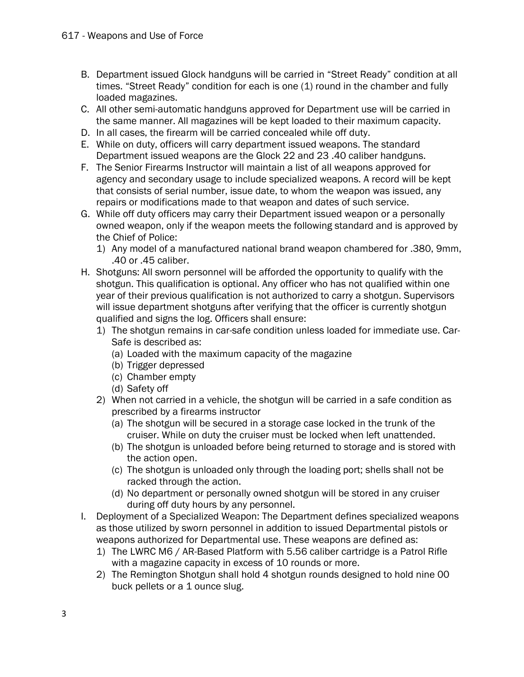- B. Department issued Glock handguns will be carried in "Street Ready" condition at all times. "Street Ready" condition for each is one (1) round in the chamber and fully loaded magazines.
- C. All other semi-automatic handguns approved for Department use will be carried in the same manner. All magazines will be kept loaded to their maximum capacity.
- D. In all cases, the firearm will be carried concealed while off duty.
- E. While on duty, officers will carry department issued weapons. The standard Department issued weapons are the Glock 22 and 23 .40 caliber handguns.
- F. The Senior Firearms Instructor will maintain a list of all weapons approved for agency and secondary usage to include specialized weapons. A record will be kept that consists of serial number, issue date, to whom the weapon was issued, any repairs or modifications made to that weapon and dates of such service.
- G. While off duty officers may carry their Department issued weapon or a personally owned weapon, only if the weapon meets the following standard and is approved by the Chief of Police:
	- 1) Any model of a manufactured national brand weapon chambered for .380, 9mm, .40 or .45 caliber.
- H. Shotguns: All sworn personnel will be afforded the opportunity to qualify with the shotgun. This qualification is optional. Any officer who has not qualified within one year of their previous qualification is not authorized to carry a shotgun. Supervisors will issue department shotguns after verifying that the officer is currently shotgun qualified and signs the log. Officers shall ensure:
	- 1) The shotgun remains in car-safe condition unless loaded for immediate use. Car-Safe is described as:
		- (a) Loaded with the maximum capacity of the magazine
		- (b) Trigger depressed
		- (c) Chamber empty
		- (d) Safety off
	- 2) When not carried in a vehicle, the shotgun will be carried in a safe condition as prescribed by a firearms instructor
		- (a) The shotgun will be secured in a storage case locked in the trunk of the cruiser. While on duty the cruiser must be locked when left unattended.
		- (b) The shotgun is unloaded before being returned to storage and is stored with the action open.
		- (c) The shotgun is unloaded only through the loading port; shells shall not be racked through the action.
		- (d) No department or personally owned shotgun will be stored in any cruiser during off duty hours by any personnel.
- I. Deployment of a Specialized Weapon: The Department defines specialized weapons as those utilized by sworn personnel in addition to issued Departmental pistols or weapons authorized for Departmental use. These weapons are defined as:
	- 1) The LWRC M6 / AR-Based Platform with 5.56 caliber cartridge is a Patrol Rifle with a magazine capacity in excess of 10 rounds or more.
	- 2) The Remington Shotgun shall hold 4 shotgun rounds designed to hold nine 00 buck pellets or a 1 ounce slug.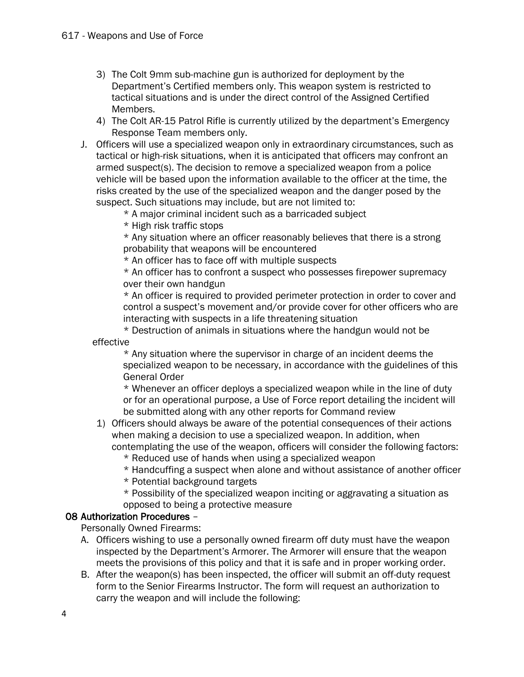- 3) The Colt 9mm sub-machine gun is authorized for deployment by the Department's Certified members only. This weapon system is restricted to tactical situations and is under the direct control of the Assigned Certified Members.
- 4) The Colt AR-15 Patrol Rifle is currently utilized by the department's Emergency Response Team members only.
- J. Officers will use a specialized weapon only in extraordinary circumstances, such as tactical or high-risk situations, when it is anticipated that officers may confront an armed suspect(s). The decision to remove a specialized weapon from a police vehicle will be based upon the information available to the officer at the time, the risks created by the use of the specialized weapon and the danger posed by the suspect. Such situations may include, but are not limited to:

\* A major criminal incident such as a barricaded subject

\* High risk traffic stops

\* Any situation where an officer reasonably believes that there is a strong probability that weapons will be encountered

\* An officer has to face off with multiple suspects

\* An officer has to confront a suspect who possesses firepower supremacy over their own handgun

\* An officer is required to provided perimeter protection in order to cover and control a suspect's movement and/or provide cover for other officers who are interacting with suspects in a life threatening situation

\* Destruction of animals in situations where the handgun would not be effective

\* Any situation where the supervisor in charge of an incident deems the specialized weapon to be necessary, in accordance with the guidelines of this General Order

\* Whenever an officer deploys a specialized weapon while in the line of duty or for an operational purpose, a Use of Force report detailing the incident will be submitted along with any other reports for Command review

- 1) Officers should always be aware of the potential consequences of their actions when making a decision to use a specialized weapon. In addition, when contemplating the use of the weapon, officers will consider the following factors:
	- \* Reduced use of hands when using a specialized weapon
	- \* Handcuffing a suspect when alone and without assistance of another officer
	- \* Potential background targets
	- \* Possibility of the specialized weapon inciting or aggravating a situation as opposed to being a protective measure

## 08 Authorization Procedures –

Personally Owned Firearms:

- A. Officers wishing to use a personally owned firearm off duty must have the weapon inspected by the Department's Armorer. The Armorer will ensure that the weapon meets the provisions of this policy and that it is safe and in proper working order.
- B. After the weapon(s) has been inspected, the officer will submit an off-duty request form to the Senior Firearms Instructor. The form will request an authorization to carry the weapon and will include the following: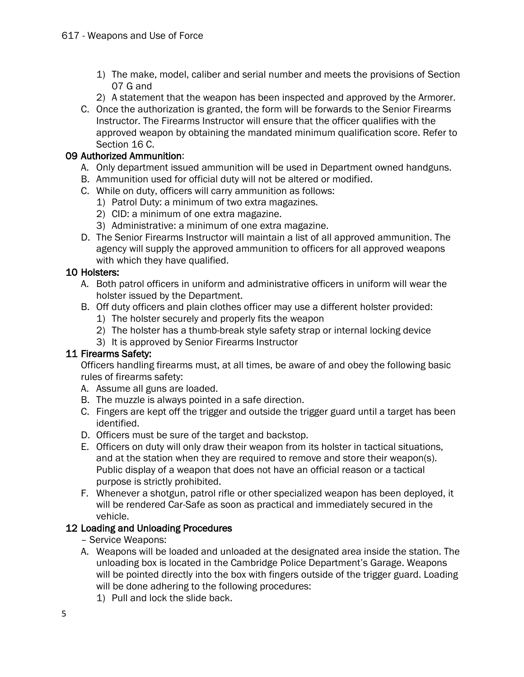- 1) The make, model, caliber and serial number and meets the provisions of Section 07 G and
- 2) A statement that the weapon has been inspected and approved by the Armorer.
- C. Once the authorization is granted, the form will be forwards to the Senior Firearms Instructor. The Firearms Instructor will ensure that the officer qualifies with the approved weapon by obtaining the mandated minimum qualification score. Refer to Section 16 C.

## 09 Authorized Ammunition:

- A. Only department issued ammunition will be used in Department owned handguns.
- B. Ammunition used for official duty will not be altered or modified.
- C. While on duty, officers will carry ammunition as follows:
	- 1) Patrol Duty: a minimum of two extra magazines.
	- 2) CID: a minimum of one extra magazine.
	- 3) Administrative: a minimum of one extra magazine.
- D. The Senior Firearms Instructor will maintain a list of all approved ammunition. The agency will supply the approved ammunition to officers for all approved weapons with which they have qualified.

# 10 Holsters:

- A. Both patrol officers in uniform and administrative officers in uniform will wear the holster issued by the Department.
- B. Off duty officers and plain clothes officer may use a different holster provided:
	- 1) The holster securely and properly fits the weapon
	- 2) The holster has a thumb-break style safety strap or internal locking device
	- 3) It is approved by Senior Firearms Instructor

# 11 Firearms Safety:

Officers handling firearms must, at all times, be aware of and obey the following basic rules of firearms safety:

- A. Assume all guns are loaded.
- B. The muzzle is always pointed in a safe direction.
- C. Fingers are kept off the trigger and outside the trigger guard until a target has been identified.
- D. Officers must be sure of the target and backstop.
- E. Officers on duty will only draw their weapon from its holster in tactical situations, and at the station when they are required to remove and store their weapon(s). Public display of a weapon that does not have an official reason or a tactical purpose is strictly prohibited.
- F. Whenever a shotgun, patrol rifle or other specialized weapon has been deployed, it will be rendered Car-Safe as soon as practical and immediately secured in the vehicle.

# 12 Loading and Unloading Procedures

# – Service Weapons:

- A. Weapons will be loaded and unloaded at the designated area inside the station. The unloading box is located in the Cambridge Police Department's Garage. Weapons will be pointed directly into the box with fingers outside of the trigger guard. Loading will be done adhering to the following procedures:
	- 1) Pull and lock the slide back.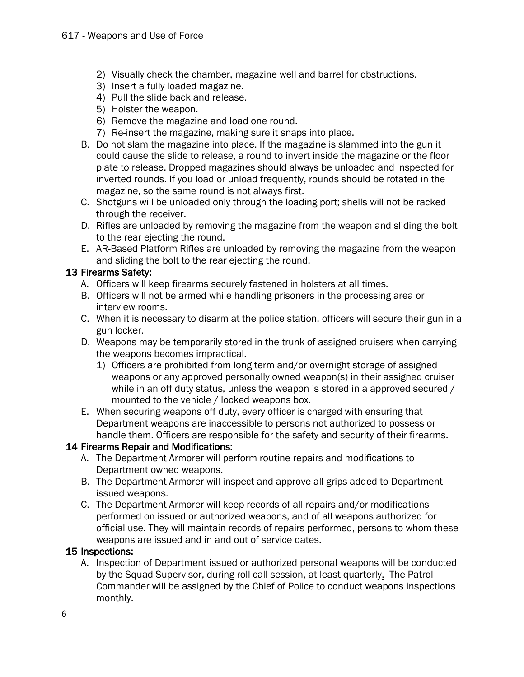- 2) Visually check the chamber, magazine well and barrel for obstructions.
- 3) Insert a fully loaded magazine.
- 4) Pull the slide back and release.
- 5) Holster the weapon.
- 6) Remove the magazine and load one round.
- 7) Re-insert the magazine, making sure it snaps into place.
- B. Do not slam the magazine into place. If the magazine is slammed into the gun it could cause the slide to release, a round to invert inside the magazine or the floor plate to release. Dropped magazines should always be unloaded and inspected for inverted rounds. If you load or unload frequently, rounds should be rotated in the magazine, so the same round is not always first.
- C. Shotguns will be unloaded only through the loading port; shells will not be racked through the receiver.
- D. Rifles are unloaded by removing the magazine from the weapon and sliding the bolt to the rear ejecting the round.
- E. AR-Based Platform Rifles are unloaded by removing the magazine from the weapon and sliding the bolt to the rear ejecting the round.

# 13 Firearms Safety:

- A. Officers will keep firearms securely fastened in holsters at all times.
- B. Officers will not be armed while handling prisoners in the processing area or interview rooms.
- C. When it is necessary to disarm at the police station, officers will secure their gun in a gun locker.
- D. Weapons may be temporarily stored in the trunk of assigned cruisers when carrying the weapons becomes impractical.
	- 1) Officers are prohibited from long term and/or overnight storage of assigned weapons or any approved personally owned weapon(s) in their assigned cruiser while in an off duty status, unless the weapon is stored in a approved secured / mounted to the vehicle / locked weapons box.
- E. When securing weapons off duty, every officer is charged with ensuring that Department weapons are inaccessible to persons not authorized to possess or handle them. Officers are responsible for the safety and security of their firearms.

# 14 Firearms Repair and Modifications:

- A. The Department Armorer will perform routine repairs and modifications to Department owned weapons.
- B. The Department Armorer will inspect and approve all grips added to Department issued weapons.
- C. The Department Armorer will keep records of all repairs and/or modifications performed on issued or authorized weapons, and of all weapons authorized for official use. They will maintain records of repairs performed, persons to whom these weapons are issued and in and out of service dates.

# 15 Inspections:

A. Inspection of Department issued or authorized personal weapons will be conducted by the Squad Supervisor, during roll call session, at least quarterly. The Patrol Commander will be assigned by the Chief of Police to conduct weapons inspections monthly.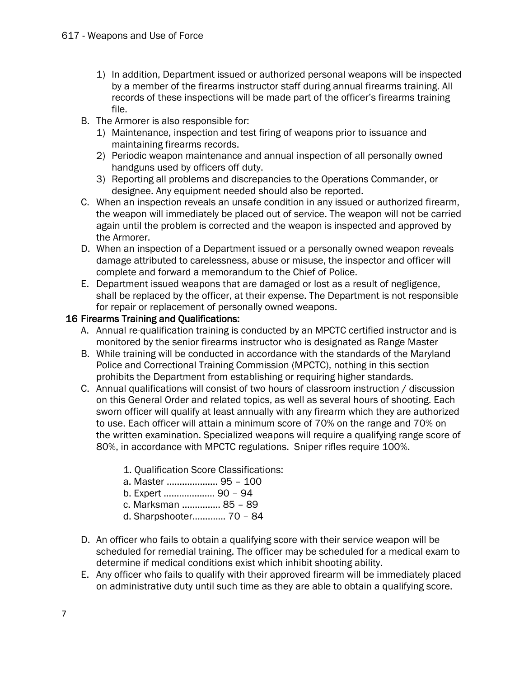- 1) In addition, Department issued or authorized personal weapons will be inspected by a member of the firearms instructor staff during annual firearms training. All records of these inspections will be made part of the officer's firearms training file.
- B. The Armorer is also responsible for:
	- 1) Maintenance, inspection and test firing of weapons prior to issuance and maintaining firearms records.
	- 2) Periodic weapon maintenance and annual inspection of all personally owned handguns used by officers off duty.
	- 3) Reporting all problems and discrepancies to the Operations Commander, or designee. Any equipment needed should also be reported.
- C. When an inspection reveals an unsafe condition in any issued or authorized firearm, the weapon will immediately be placed out of service. The weapon will not be carried again until the problem is corrected and the weapon is inspected and approved by the Armorer.
- D. When an inspection of a Department issued or a personally owned weapon reveals damage attributed to carelessness, abuse or misuse, the inspector and officer will complete and forward a memorandum to the Chief of Police.
- E. Department issued weapons that are damaged or lost as a result of negligence, shall be replaced by the officer, at their expense. The Department is not responsible for repair or replacement of personally owned weapons.

# 16 Firearms Training and Qualifications:

- A. Annual re-qualification training is conducted by an MPCTC certified instructor and is monitored by the senior firearms instructor who is designated as Range Master
- B. While training will be conducted in accordance with the standards of the Maryland Police and Correctional Training Commission (MPCTC), nothing in this section prohibits the Department from establishing or requiring higher standards.
- C. Annual qualifications will consist of two hours of classroom instruction / discussion on this General Order and related topics, as well as several hours of shooting. Each sworn officer will qualify at least annually with any firearm which they are authorized to use. Each officer will attain a minimum score of 70% on the range and 70% on the written examination. Specialized weapons will require a qualifying range score of 80%, in accordance with MPCTC regulations. Sniper rifles require 100%.
	- 1. Qualification Score Classifications:
	- a. Master ……………….. 95 100
	- b. Expert ……………….. 90 94
	- c. Marksman …………… 85 89
	- d. Sharpshooter…….…… 70 84
- D. An officer who fails to obtain a qualifying score with their service weapon will be scheduled for remedial training. The officer may be scheduled for a medical exam to determine if medical conditions exist which inhibit shooting ability.
- E. Any officer who fails to qualify with their approved firearm will be immediately placed on administrative duty until such time as they are able to obtain a qualifying score.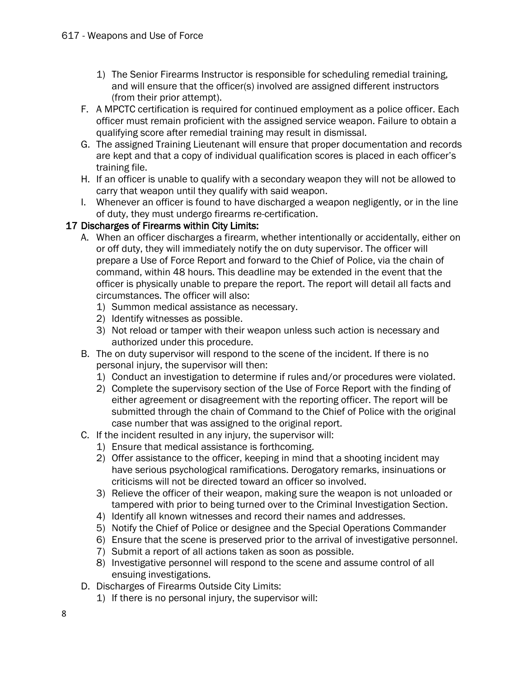- 1) The Senior Firearms Instructor is responsible for scheduling remedial training, and will ensure that the officer(s) involved are assigned different instructors (from their prior attempt).
- F. A MPCTC certification is required for continued employment as a police officer. Each officer must remain proficient with the assigned service weapon. Failure to obtain a qualifying score after remedial training may result in dismissal.
- G. The assigned Training Lieutenant will ensure that proper documentation and records are kept and that a copy of individual qualification scores is placed in each officer's training file.
- H. If an officer is unable to qualify with a secondary weapon they will not be allowed to carry that weapon until they qualify with said weapon.
- I. Whenever an officer is found to have discharged a weapon negligently, or in the line of duty, they must undergo firearms re-certification.

# 17 Discharges of Firearms within City Limits:

- A. When an officer discharges a firearm, whether intentionally or accidentally, either on or off duty, they will immediately notify the on duty supervisor. The officer will prepare a Use of Force Report and forward to the Chief of Police, via the chain of command, within 48 hours. This deadline may be extended in the event that the officer is physically unable to prepare the report. The report will detail all facts and circumstances. The officer will also:
	- 1) Summon medical assistance as necessary.
	- 2) Identify witnesses as possible.
	- 3) Not reload or tamper with their weapon unless such action is necessary and authorized under this procedure.
- B. The on duty supervisor will respond to the scene of the incident. If there is no personal injury, the supervisor will then:
	- 1) Conduct an investigation to determine if rules and/or procedures were violated.
	- 2) Complete the supervisory section of the Use of Force Report with the finding of either agreement or disagreement with the reporting officer. The report will be submitted through the chain of Command to the Chief of Police with the original case number that was assigned to the original report.
- C. If the incident resulted in any injury, the supervisor will:
	- 1) Ensure that medical assistance is forthcoming.
	- 2) Offer assistance to the officer, keeping in mind that a shooting incident may have serious psychological ramifications. Derogatory remarks, insinuations or criticisms will not be directed toward an officer so involved.
	- 3) Relieve the officer of their weapon, making sure the weapon is not unloaded or tampered with prior to being turned over to the Criminal Investigation Section.
	- 4) Identify all known witnesses and record their names and addresses.
	- 5) Notify the Chief of Police or designee and the Special Operations Commander
	- 6) Ensure that the scene is preserved prior to the arrival of investigative personnel.
	- 7) Submit a report of all actions taken as soon as possible.
	- 8) Investigative personnel will respond to the scene and assume control of all ensuing investigations.
- D. Discharges of Firearms Outside City Limits:
	- 1) If there is no personal injury, the supervisor will: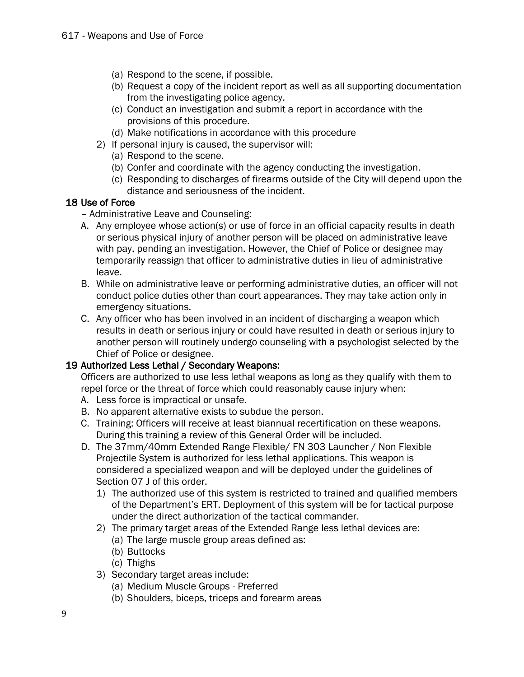- (a) Respond to the scene, if possible.
- (b) Request a copy of the incident report as well as all supporting documentation from the investigating police agency.
- (c) Conduct an investigation and submit a report in accordance with the provisions of this procedure.
- (d) Make notifications in accordance with this procedure
- 2) If personal injury is caused, the supervisor will:
	- (a) Respond to the scene.
	- (b) Confer and coordinate with the agency conducting the investigation.
	- (c) Responding to discharges of firearms outside of the City will depend upon the distance and seriousness of the incident.

## 18 Use of Force

- Administrative Leave and Counseling:
- A. Any employee whose action(s) or use of force in an official capacity results in death or serious physical injury of another person will be placed on administrative leave with pay, pending an investigation. However, the Chief of Police or designee may temporarily reassign that officer to administrative duties in lieu of administrative leave.
- B. While on administrative leave or performing administrative duties, an officer will not conduct police duties other than court appearances. They may take action only in emergency situations.
- C. Any officer who has been involved in an incident of discharging a weapon which results in death or serious injury or could have resulted in death or serious injury to another person will routinely undergo counseling with a psychologist selected by the Chief of Police or designee.

## 19 Authorized Less Lethal / Secondary Weapons:

Officers are authorized to use less lethal weapons as long as they qualify with them to repel force or the threat of force which could reasonably cause injury when:

- A. Less force is impractical or unsafe.
- B. No apparent alternative exists to subdue the person.
- C. Training: Officers will receive at least biannual recertification on these weapons. During this training a review of this General Order will be included.
- D. The 37mm/40mm Extended Range Flexible/ FN 303 Launcher / Non Flexible Projectile System is authorized for less lethal applications. This weapon is considered a specialized weapon and will be deployed under the guidelines of Section 07 J of this order.
	- 1) The authorized use of this system is restricted to trained and qualified members of the Department's ERT. Deployment of this system will be for tactical purpose under the direct authorization of the tactical commander.
	- 2) The primary target areas of the Extended Range less lethal devices are:
		- (a) The large muscle group areas defined as:
		- (b) Buttocks
		- (c) Thighs
	- 3) Secondary target areas include:
		- (a) Medium Muscle Groups Preferred
		- (b) Shoulders, biceps, triceps and forearm areas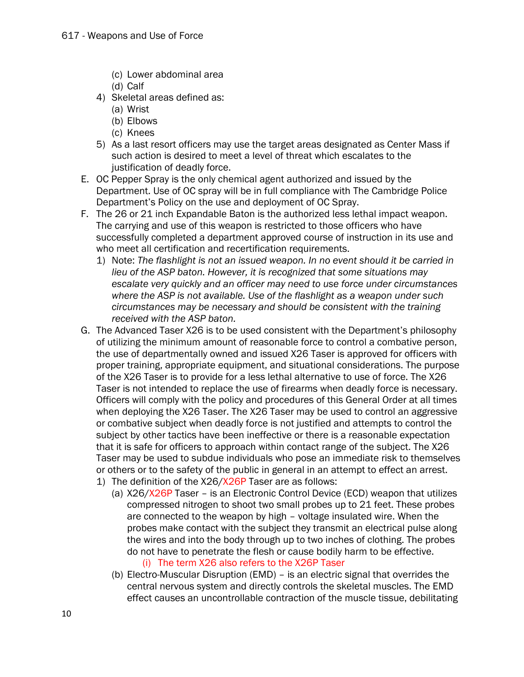- (c) Lower abdominal area
- (d) Calf
- 4) Skeletal areas defined as:
	- (a) Wrist
	- (b) Elbows
	- (c) Knees
- 5) As a last resort officers may use the target areas designated as Center Mass if such action is desired to meet a level of threat which escalates to the justification of deadly force.
- E. OC Pepper Spray is the only chemical agent authorized and issued by the Department. Use of OC spray will be in full compliance with The Cambridge Police Department's Policy on the use and deployment of OC Spray.
- F. The 26 or 21 inch Expandable Baton is the authorized less lethal impact weapon. The carrying and use of this weapon is restricted to those officers who have successfully completed a department approved course of instruction in its use and who meet all certification and recertification requirements.
	- 1) Note: *The flashlight is not an issued weapon. In no event should it be carried in lieu of the ASP baton. However, it is recognized that some situations may escalate very quickly and an officer may need to use force under circumstances where the ASP is not available. Use of the flashlight as a weapon under such circumstances may be necessary and should be consistent with the training received with the ASP baton.*
- G. The Advanced Taser X26 is to be used consistent with the Department's philosophy of utilizing the minimum amount of reasonable force to control a combative person, the use of departmentally owned and issued X26 Taser is approved for officers with proper training, appropriate equipment, and situational considerations. The purpose of the X26 Taser is to provide for a less lethal alternative to use of force. The X26 Taser is not intended to replace the use of firearms when deadly force is necessary. Officers will comply with the policy and procedures of this General Order at all times when deploying the X26 Taser. The X26 Taser may be used to control an aggressive or combative subject when deadly force is not justified and attempts to control the subject by other tactics have been ineffective or there is a reasonable expectation that it is safe for officers to approach within contact range of the subject. The X26 Taser may be used to subdue individuals who pose an immediate risk to themselves or others or to the safety of the public in general in an attempt to effect an arrest.
	- 1) The definition of the X26/X26P Taser are as follows:
		- (a) X26/X26P Taser is an Electronic Control Device (ECD) weapon that utilizes compressed nitrogen to shoot two small probes up to 21 feet. These probes are connected to the weapon by high – voltage insulated wire. When the probes make contact with the subject they transmit an electrical pulse along the wires and into the body through up to two inches of clothing. The probes do not have to penetrate the flesh or cause bodily harm to be effective.
			- (i) The term X26 also refers to the X26P Taser
		- (b) Electro-Muscular Disruption (EMD) is an electric signal that overrides the central nervous system and directly controls the skeletal muscles. The EMD effect causes an uncontrollable contraction of the muscle tissue, debilitating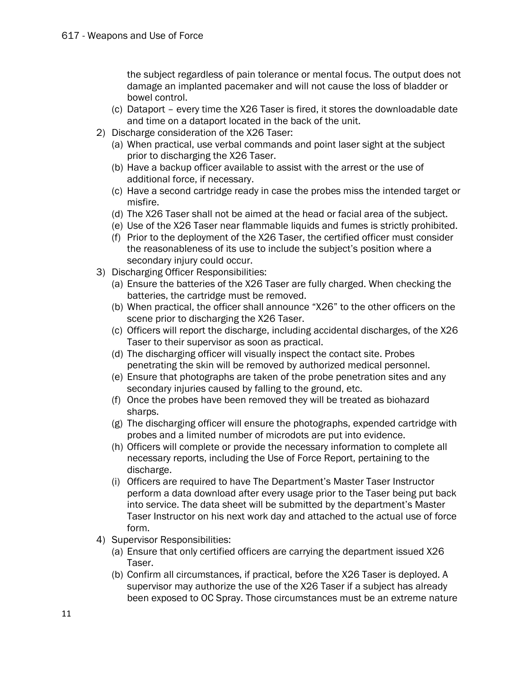the subject regardless of pain tolerance or mental focus. The output does not damage an implanted pacemaker and will not cause the loss of bladder or bowel control.

- (c) Dataport every time the X26 Taser is fired, it stores the downloadable date and time on a dataport located in the back of the unit.
- 2) Discharge consideration of the X26 Taser:
	- (a) When practical, use verbal commands and point laser sight at the subject prior to discharging the X26 Taser.
	- (b) Have a backup officer available to assist with the arrest or the use of additional force, if necessary.
	- (c) Have a second cartridge ready in case the probes miss the intended target or misfire.
	- (d) The X26 Taser shall not be aimed at the head or facial area of the subject.
	- (e) Use of the X26 Taser near flammable liquids and fumes is strictly prohibited.
	- (f) Prior to the deployment of the X26 Taser, the certified officer must consider the reasonableness of its use to include the subject's position where a secondary injury could occur.
- 3) Discharging Officer Responsibilities:
	- (a) Ensure the batteries of the X26 Taser are fully charged. When checking the batteries, the cartridge must be removed.
	- (b) When practical, the officer shall announce "X26" to the other officers on the scene prior to discharging the X26 Taser.
	- (c) Officers will report the discharge, including accidental discharges, of the X26 Taser to their supervisor as soon as practical.
	- (d) The discharging officer will visually inspect the contact site. Probes penetrating the skin will be removed by authorized medical personnel.
	- (e) Ensure that photographs are taken of the probe penetration sites and any secondary injuries caused by falling to the ground, etc.
	- (f) Once the probes have been removed they will be treated as biohazard sharps.
	- (g) The discharging officer will ensure the photographs, expended cartridge with probes and a limited number of microdots are put into evidence.
	- (h) Officers will complete or provide the necessary information to complete all necessary reports, including the Use of Force Report, pertaining to the discharge.
	- (i) Officers are required to have The Department's Master Taser Instructor perform a data download after every usage prior to the Taser being put back into service. The data sheet will be submitted by the department's Master Taser Instructor on his next work day and attached to the actual use of force form.
- 4) Supervisor Responsibilities:
	- (a) Ensure that only certified officers are carrying the department issued X26 Taser.
	- (b) Confirm all circumstances, if practical, before the X26 Taser is deployed. A supervisor may authorize the use of the X26 Taser if a subject has already been exposed to OC Spray. Those circumstances must be an extreme nature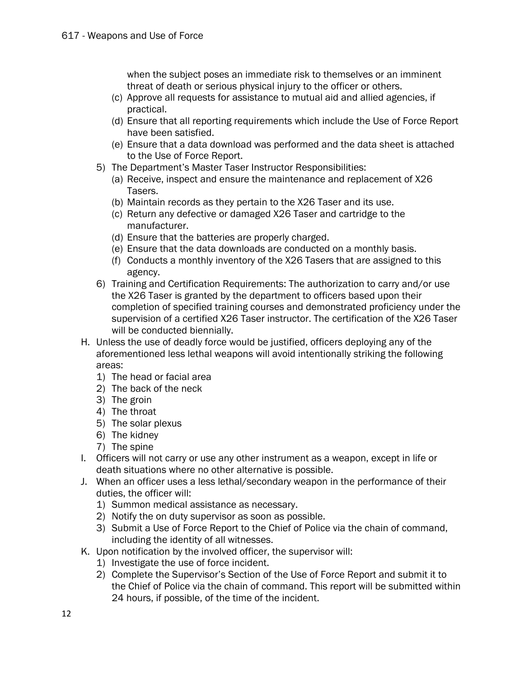when the subject poses an immediate risk to themselves or an imminent threat of death or serious physical injury to the officer or others.

- (c) Approve all requests for assistance to mutual aid and allied agencies, if practical.
- (d) Ensure that all reporting requirements which include the Use of Force Report have been satisfied.
- (e) Ensure that a data download was performed and the data sheet is attached to the Use of Force Report.
- 5) The Department's Master Taser Instructor Responsibilities:
	- (a) Receive, inspect and ensure the maintenance and replacement of X26 Tasers.
	- (b) Maintain records as they pertain to the X26 Taser and its use.
	- (c) Return any defective or damaged X26 Taser and cartridge to the manufacturer.
	- (d) Ensure that the batteries are properly charged.
	- (e) Ensure that the data downloads are conducted on a monthly basis.
	- (f) Conducts a monthly inventory of the X26 Tasers that are assigned to this agency.
- 6) Training and Certification Requirements: The authorization to carry and/or use the X26 Taser is granted by the department to officers based upon their completion of specified training courses and demonstrated proficiency under the supervision of a certified X26 Taser instructor. The certification of the X26 Taser will be conducted biennially.
- H. Unless the use of deadly force would be justified, officers deploying any of the aforementioned less lethal weapons will avoid intentionally striking the following areas:
	- 1) The head or facial area
	- 2) The back of the neck
	- 3) The groin
	- 4) The throat
	- 5) The solar plexus
	- 6) The kidney
	- 7) The spine
- I. Officers will not carry or use any other instrument as a weapon, except in life or death situations where no other alternative is possible.
- J. When an officer uses a less lethal/secondary weapon in the performance of their duties, the officer will:
	- 1) Summon medical assistance as necessary.
	- 2) Notify the on duty supervisor as soon as possible.
	- 3) Submit a Use of Force Report to the Chief of Police via the chain of command, including the identity of all witnesses.
- K. Upon notification by the involved officer, the supervisor will:
	- 1) Investigate the use of force incident.
	- 2) Complete the Supervisor's Section of the Use of Force Report and submit it to the Chief of Police via the chain of command. This report will be submitted within 24 hours, if possible, of the time of the incident.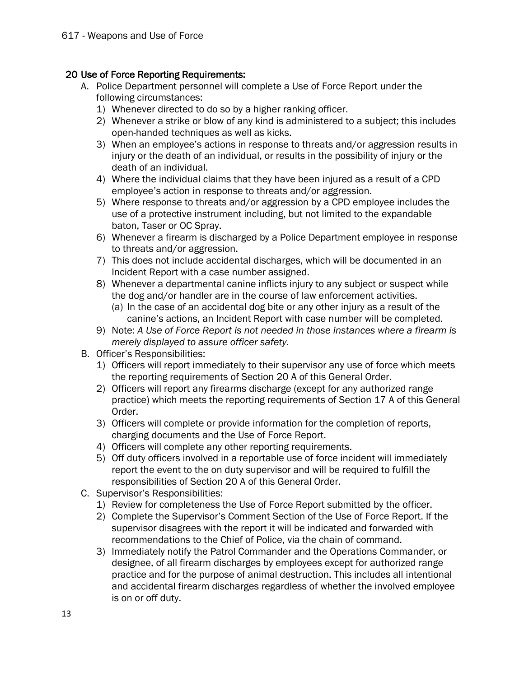## 20 Use of Force Reporting Requirements:

- A. Police Department personnel will complete a Use of Force Report under the following circumstances:
	- 1) Whenever directed to do so by a higher ranking officer.
	- 2) Whenever a strike or blow of any kind is administered to a subject; this includes open-handed techniques as well as kicks.
	- 3) When an employee's actions in response to threats and/or aggression results in injury or the death of an individual, or results in the possibility of injury or the death of an individual.
	- 4) Where the individual claims that they have been injured as a result of a CPD employee's action in response to threats and/or aggression.
	- 5) Where response to threats and/or aggression by a CPD employee includes the use of a protective instrument including, but not limited to the expandable baton, Taser or OC Spray.
	- 6) Whenever a firearm is discharged by a Police Department employee in response to threats and/or aggression.
	- 7) This does not include accidental discharges, which will be documented in an Incident Report with a case number assigned.
	- 8) Whenever a departmental canine inflicts injury to any subject or suspect while the dog and/or handler are in the course of law enforcement activities.
		- (a) In the case of an accidental dog bite or any other injury as a result of the canine's actions, an Incident Report with case number will be completed.
	- 9) Note: *A Use of Force Report is not needed in those instances where a firearm is merely displayed to assure officer safety.*
- B. Officer's Responsibilities:
	- 1) Officers will report immediately to their supervisor any use of force which meets the reporting requirements of Section 20 A of this General Order.
	- 2) Officers will report any firearms discharge (except for any authorized range practice) which meets the reporting requirements of Section 17 A of this General Order.
	- 3) Officers will complete or provide information for the completion of reports, charging documents and the Use of Force Report.
	- 4) Officers will complete any other reporting requirements.
	- 5) Off duty officers involved in a reportable use of force incident will immediately report the event to the on duty supervisor and will be required to fulfill the responsibilities of Section 20 A of this General Order.
- C. Supervisor's Responsibilities:
	- 1) Review for completeness the Use of Force Report submitted by the officer.
	- 2) Complete the Supervisor's Comment Section of the Use of Force Report. If the supervisor disagrees with the report it will be indicated and forwarded with recommendations to the Chief of Police, via the chain of command.
	- 3) Immediately notify the Patrol Commander and the Operations Commander, or designee, of all firearm discharges by employees except for authorized range practice and for the purpose of animal destruction. This includes all intentional and accidental firearm discharges regardless of whether the involved employee is on or off duty.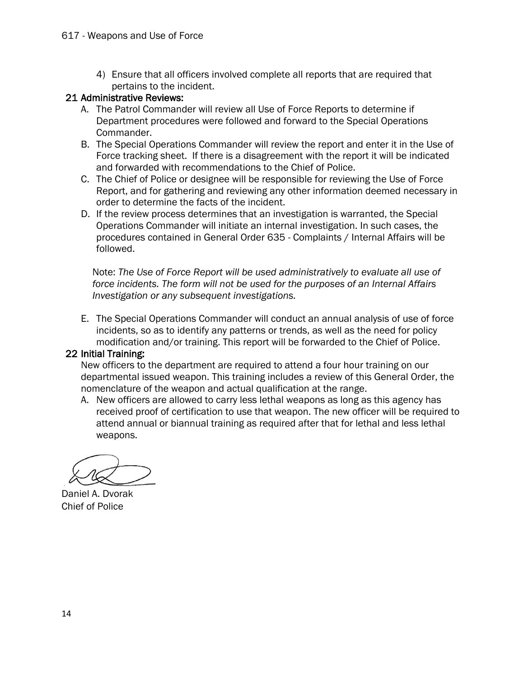4) Ensure that all officers involved complete all reports that are required that pertains to the incident.

## 21 Administrative Reviews:

- A. The Patrol Commander will review all Use of Force Reports to determine if Department procedures were followed and forward to the Special Operations Commander.
- B. The Special Operations Commander will review the report and enter it in the Use of Force tracking sheet. If there is a disagreement with the report it will be indicated and forwarded with recommendations to the Chief of Police.
- C. The Chief of Police or designee will be responsible for reviewing the Use of Force Report, and for gathering and reviewing any other information deemed necessary in order to determine the facts of the incident.
- D. If the review process determines that an investigation is warranted, the Special Operations Commander will initiate an internal investigation. In such cases, the procedures contained in General Order 635 - Complaints / Internal Affairs will be followed.

Note: *The Use of Force Report will be used administratively to evaluate all use of force incidents. The form will not be used for the purposes of an Internal Affairs Investigation or any subsequent investigations.* 

E. The Special Operations Commander will conduct an annual analysis of use of force incidents, so as to identify any patterns or trends, as well as the need for policy modification and/or training. This report will be forwarded to the Chief of Police.

## 22 Initial Training:

New officers to the department are required to attend a four hour training on our departmental issued weapon. This training includes a review of this General Order, the nomenclature of the weapon and actual qualification at the range.

A. New officers are allowed to carry less lethal weapons as long as this agency has received proof of certification to use that weapon. The new officer will be required to attend annual or biannual training as required after that for lethal and less lethal weapons.

Daniel A. Dvorak Chief of Police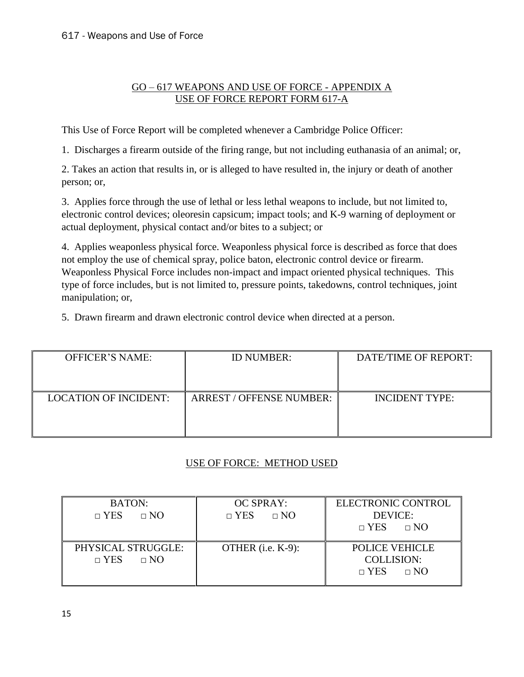## GO – 617 WEAPONS AND USE OF FORCE - APPENDIX A USE OF FORCE REPORT FORM 617-A

This Use of Force Report will be completed whenever a Cambridge Police Officer:

1. Discharges a firearm outside of the firing range, but not including euthanasia of an animal; or,

2. Takes an action that results in, or is alleged to have resulted in, the injury or death of another person; or,

3. Applies force through the use of lethal or less lethal weapons to include, but not limited to, electronic control devices; oleoresin capsicum; impact tools; and K-9 warning of deployment or actual deployment, physical contact and/or bites to a subject; or

4. Applies weaponless physical force. Weaponless physical force is described as force that does not employ the use of chemical spray, police baton, electronic control device or firearm. Weaponless Physical Force includes non-impact and impact oriented physical techniques. This type of force includes, but is not limited to, pressure points, takedowns, control techniques, joint manipulation; or,

5. Drawn firearm and drawn electronic control device when directed at a person.

| <b>OFFICER'S NAME:</b>       | <b>ID NUMBER:</b>               | DATE/TIME OF REPORT:  |
|------------------------------|---------------------------------|-----------------------|
| <b>LOCATION OF INCIDENT:</b> | <b>ARREST / OFFENSE NUMBER:</b> | <b>INCIDENT TYPE:</b> |

# USE OF FORCE: METHOD USED

| <b>BATON:</b><br>$\Box$ NO<br>$\Box$ YES        | <b>OC SPRAY:</b><br>$\Box$ YES $\Box$ NO | ELECTRONIC CONTROL<br>DEVICE:<br>$\neg$ YES $\neg$ NO                 |
|-------------------------------------------------|------------------------------------------|-----------------------------------------------------------------------|
| PHYSICAL STRUGGLE:<br>$\sqcap$ YES<br>$\Box$ NO | OTHER $(i.e. K-9)$ :                     | <b>POLICE VEHICLE</b><br><b>COLLISION:</b><br>$\Box$ YES<br>$\Box$ NO |